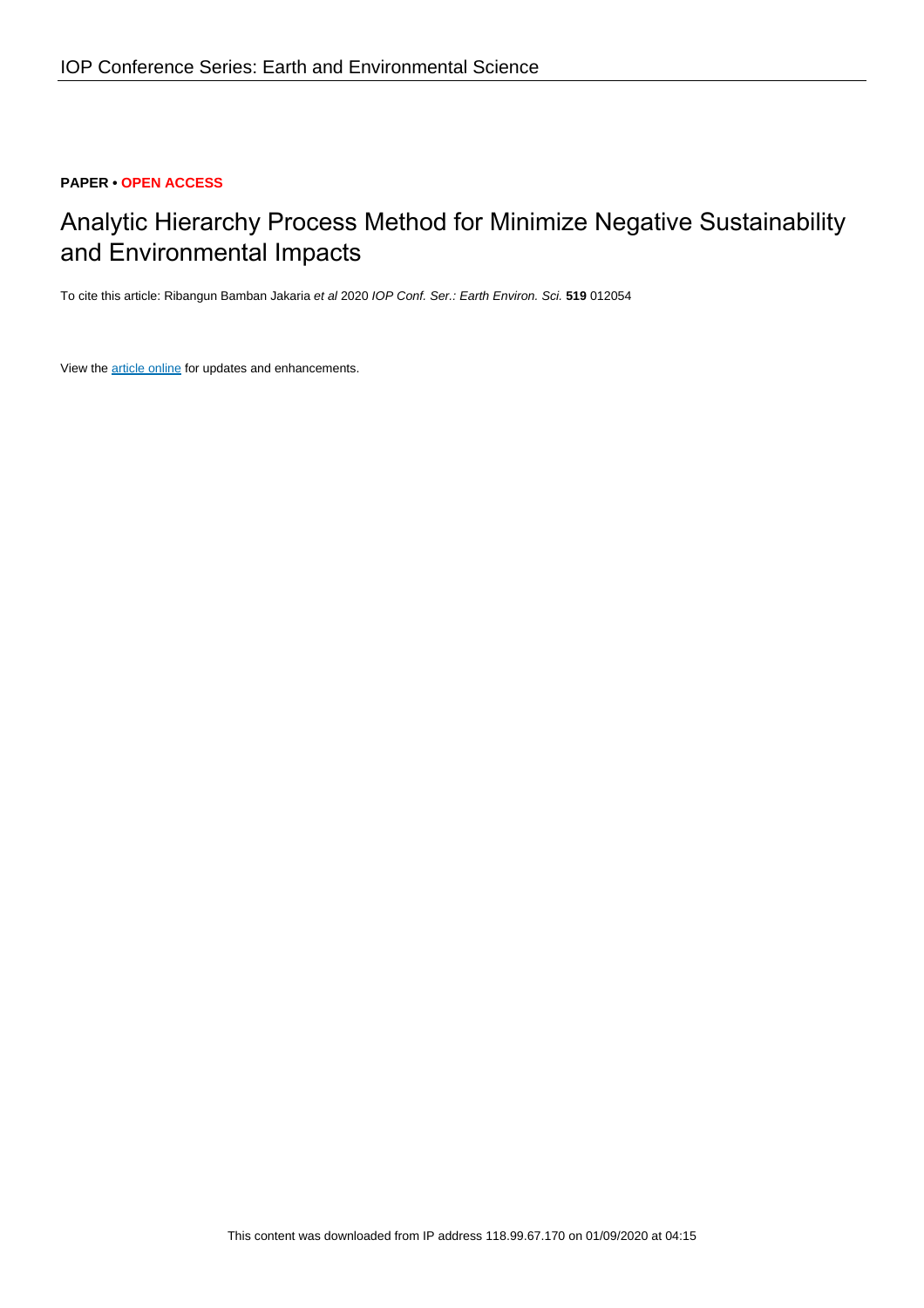# **PAPER • OPEN ACCESS**

# Analytic Hierarchy Process Method for Minimize Negative Sustainability and Environmental Impacts

To cite this article: Ribangun Bamban Jakaria et al 2020 IOP Conf. Ser.: Earth Environ. Sci. **519** 012054

View the [article online](https://doi.org/10.1088/1755-1315/519/1/012054) for updates and enhancements.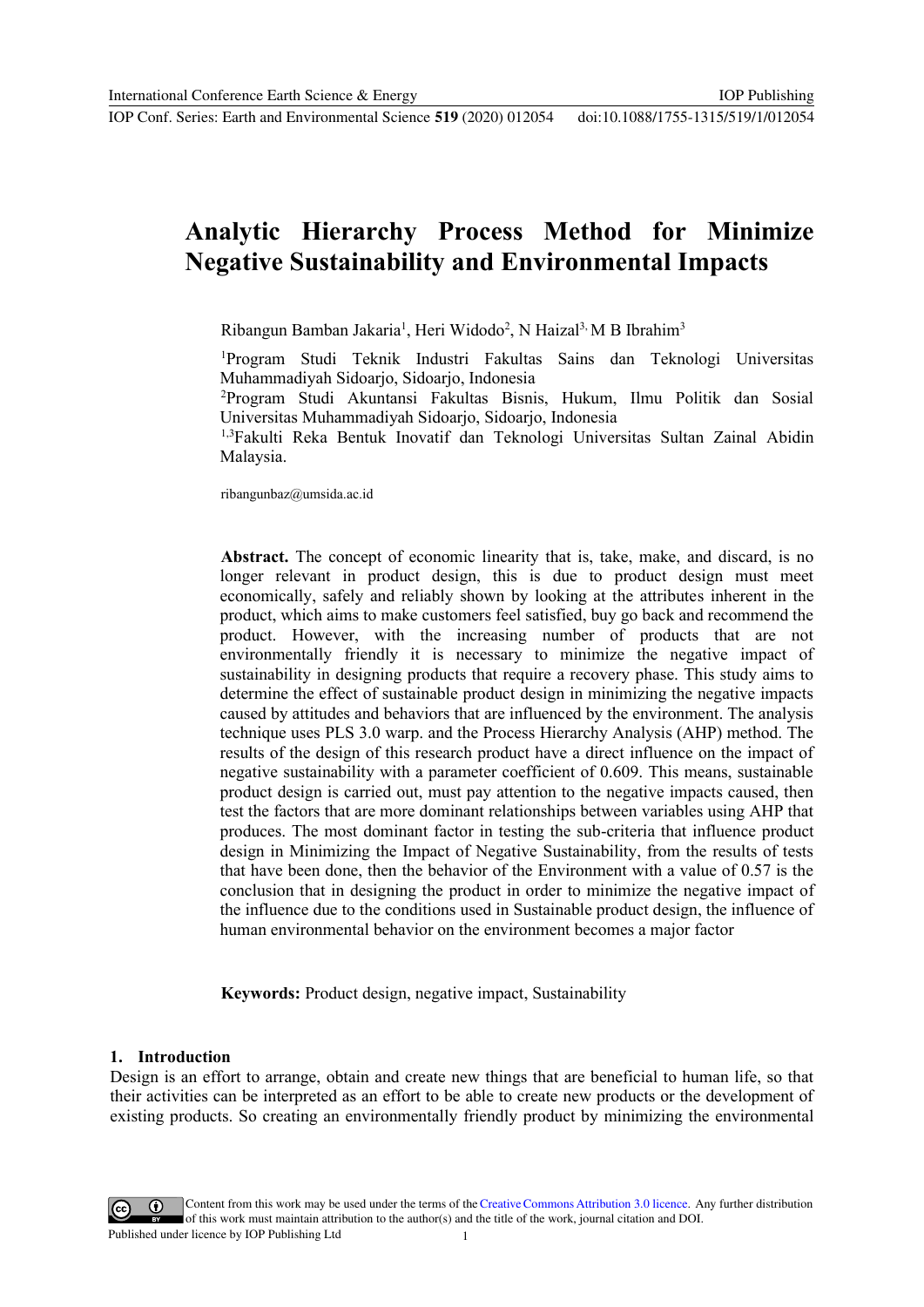# **Analytic Hierarchy Process Method for Minimize Negative Sustainability and Environmental Impacts**

IOP Publishing

Ribangun Bamban Jakaria<sup>1</sup>, Heri Widodo<sup>2</sup>, N Haizal<sup>3,</sup> M B Ibrahim<sup>3</sup>

<sup>1</sup>Program Studi Teknik Industri Fakultas Sains dan Teknologi Universitas Muhammadiyah Sidoarjo, Sidoarjo, Indonesia

<sup>2</sup>Program Studi Akuntansi Fakultas Bisnis, Hukum, Ilmu Politik dan Sosial Universitas Muhammadiyah Sidoarjo, Sidoarjo, Indonesia

1,3Fakulti Reka Bentuk Inovatif dan Teknologi Universitas Sultan Zainal Abidin Malaysia.

ribangunbaz@umsida.ac.id

**Abstract.** The concept of economic linearity that is, take, make, and discard, is no longer relevant in product design, this is due to product design must meet economically, safely and reliably shown by looking at the attributes inherent in the product, which aims to make customers feel satisfied, buy go back and recommend the product. However, with the increasing number of products that are not environmentally friendly it is necessary to minimize the negative impact of sustainability in designing products that require a recovery phase. This study aims to determine the effect of sustainable product design in minimizing the negative impacts caused by attitudes and behaviors that are influenced by the environment. The analysis technique uses PLS 3.0 warp. and the Process Hierarchy Analysis (AHP) method. The results of the design of this research product have a direct influence on the impact of negative sustainability with a parameter coefficient of 0.609. This means, sustainable product design is carried out, must pay attention to the negative impacts caused, then test the factors that are more dominant relationships between variables using AHP that produces. The most dominant factor in testing the sub-criteria that influence product design in Minimizing the Impact of Negative Sustainability, from the results of tests that have been done, then the behavior of the Environment with a value of 0.57 is the conclusion that in designing the product in order to minimize the negative impact of the influence due to the conditions used in Sustainable product design, the influence of human environmental behavior on the environment becomes a major factor

**Keywords:** Product design, negative impact, Sustainability

## **1. Introduction**

Design is an effort to arrange, obtain and create new things that are beneficial to human life, so that their activities can be interpreted as an effort to be able to create new products or the development of existing products. So creating an environmentally friendly product by minimizing the environmental

Content from this work may be used under the terms of the Creative Commons Attribution 3.0 licence. Any further distribution of this work must maintain attribution to the author(s) and the title of the work, journal citation and DOI. Published under licence by IOP Publishing Ltd 1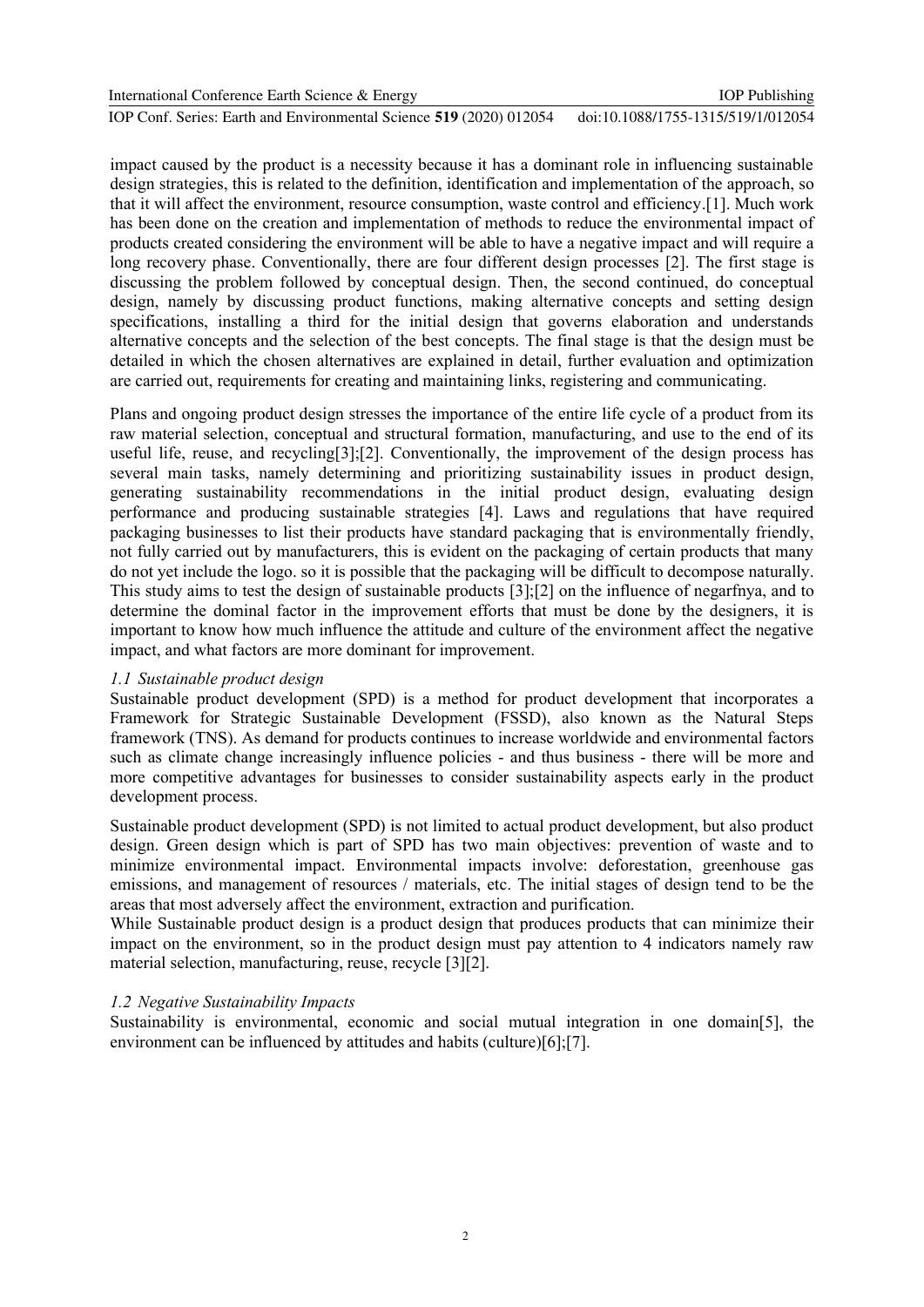| International Conference Earth Science & Energy                     | <b>IOP</b> Publishing              |
|---------------------------------------------------------------------|------------------------------------|
| IOP Conf. Series: Earth and Environmental Science 519 (2020) 012054 | doi:10.1088/1755-1315/519/1/012054 |

impact caused by the product is a necessity because it has a dominant role in influencing sustainable design strategies, this is related to the definition, identification and implementation of the approach, so that it will affect the environment, resource consumption, waste control and efficiency.[1]. Much work has been done on the creation and implementation of methods to reduce the environmental impact of products created considering the environment will be able to have a negative impact and will require a long recovery phase. Conventionally, there are four different design processes [2]. The first stage is discussing the problem followed by conceptual design. Then, the second continued, do conceptual design, namely by discussing product functions, making alternative concepts and setting design specifications, installing a third for the initial design that governs elaboration and understands alternative concepts and the selection of the best concepts. The final stage is that the design must be detailed in which the chosen alternatives are explained in detail, further evaluation and optimization are carried out, requirements for creating and maintaining links, registering and communicating.

Plans and ongoing product design stresses the importance of the entire life cycle of a product from its raw material selection, conceptual and structural formation, manufacturing, and use to the end of its useful life, reuse, and recycling[3];[2]. Conventionally, the improvement of the design process has several main tasks, namely determining and prioritizing sustainability issues in product design, generating sustainability recommendations in the initial product design, evaluating design performance and producing sustainable strategies [4]. Laws and regulations that have required packaging businesses to list their products have standard packaging that is environmentally friendly, not fully carried out by manufacturers, this is evident on the packaging of certain products that many do not yet include the logo. so it is possible that the packaging will be difficult to decompose naturally. This study aims to test the design of sustainable products [3];[2] on the influence of negarfnya, and to determine the dominal factor in the improvement efforts that must be done by the designers, it is important to know how much influence the attitude and culture of the environment affect the negative impact, and what factors are more dominant for improvement.

# *1.1 Sustainable product design*

Sustainable product development (SPD) is a method for product development that incorporates a Framework for Strategic Sustainable Development (FSSD), also known as the Natural Steps framework (TNS). As demand for products continues to increase worldwide and environmental factors such as climate change increasingly influence policies - and thus business - there will be more and more competitive advantages for businesses to consider sustainability aspects early in the product development process.

Sustainable product development (SPD) is not limited to actual product development, but also product design. Green design which is part of SPD has two main objectives: prevention of waste and to minimize environmental impact. Environmental impacts involve: deforestation, greenhouse gas emissions, and management of resources / materials, etc. The initial stages of design tend to be the areas that most adversely affect the environment, extraction and purification.

While Sustainable product design is a product design that produces products that can minimize their impact on the environment, so in the product design must pay attention to 4 indicators namely raw material selection, manufacturing, reuse, recycle [3][2].

# *1.2 Negative Sustainability Impacts*

Sustainability is environmental, economic and social mutual integration in one domain[5], the environment can be influenced by attitudes and habits (culture)[6];[7].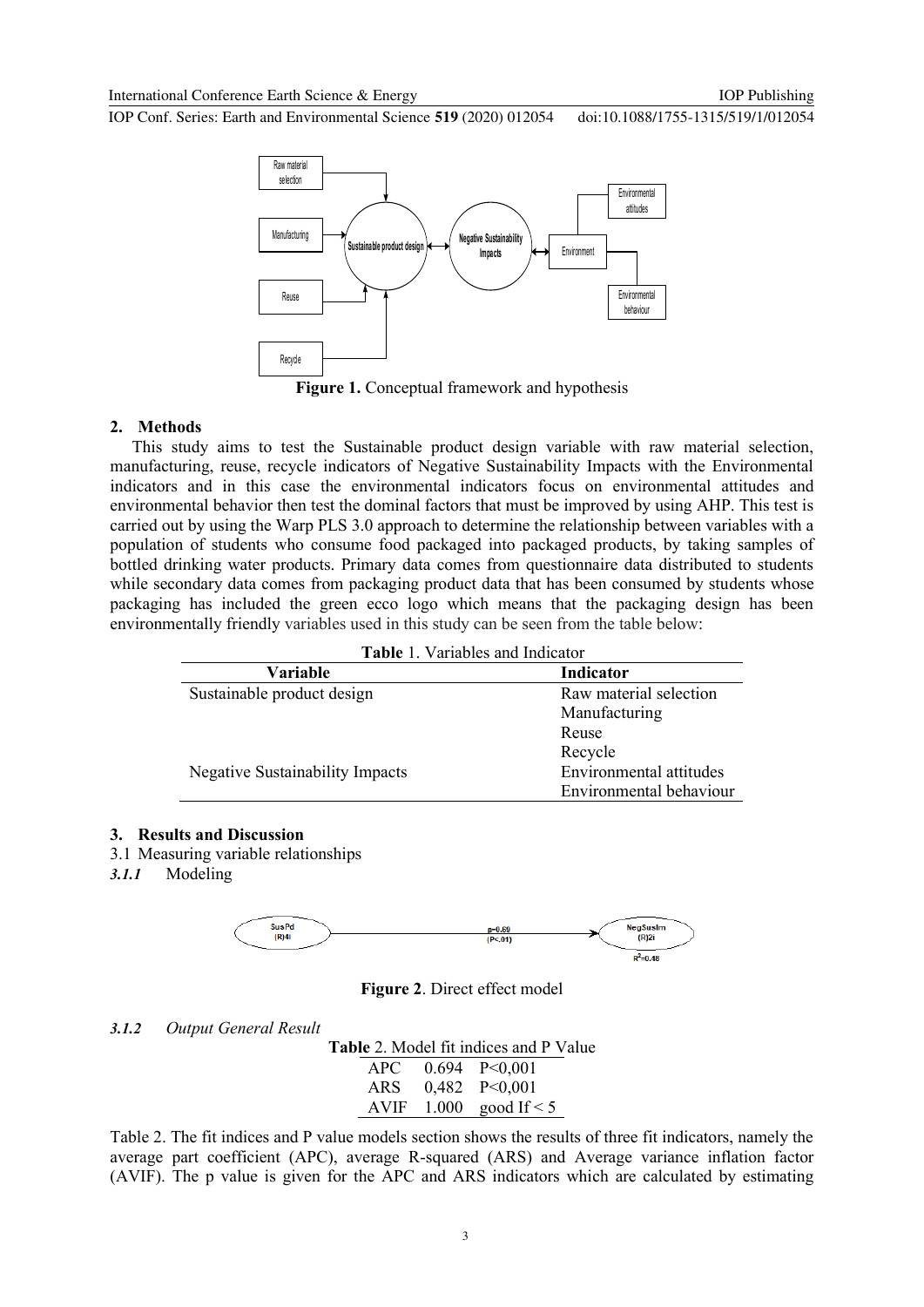IOP Conf. Series: Earth and Environmental Science **519** (2020) 012054 doi:10.1088/1755-1315/519/1/012054



**Figure 1.** Conceptual framework and hypothesis

### **2. Methods**

This study aims to test the Sustainable product design variable with raw material selection, manufacturing, reuse, recycle indicators of Negative Sustainability Impacts with the Environmental indicators and in this case the environmental indicators focus on environmental attitudes and environmental behavior then test the dominal factors that must be improved by using AHP. This test is carried out by using the Warp PLS 3.0 approach to determine the relationship between variables with a population of students who consume food packaged into packaged products, by taking samples of bottled drinking water products. Primary data comes from questionnaire data distributed to students while secondary data comes from packaging product data that has been consumed by students whose packaging has included the green ecco logo which means that the packaging design has been environmentally friendly variables used in this study can be seen from the table below:

| <b>Table 1. Variables and Indicator</b> |
|-----------------------------------------|
|-----------------------------------------|

| Variable                        | <b>Indicator</b>        |
|---------------------------------|-------------------------|
| Sustainable product design      | Raw material selection  |
|                                 | Manufacturing           |
|                                 | Reuse                   |
|                                 | Recycle                 |
| Negative Sustainability Impacts | Environmental attitudes |
|                                 | Environmental behaviour |

### **3. Results and Discussion**

- 3.1 Measuring variable relationships
- *3.1.1* Modeling



**Figure 2**. Direct effect model

## *3.1.2 Output General Result*

**Table** 2. Model fit indices and P Value

| APC.        |       | $0.694$ P<0,001  |
|-------------|-------|------------------|
| <b>ARS</b>  |       | $0,482$ P<0,001  |
| <b>AVIF</b> | 1.000 | good If $\leq$ 5 |

Table 2. The fit indices and P value models section shows the results of three fit indicators, namely the average part coefficient (APC), average R-squared (ARS) and Average variance inflation factor (AVIF). The p value is given for the APC and ARS indicators which are calculated by estimating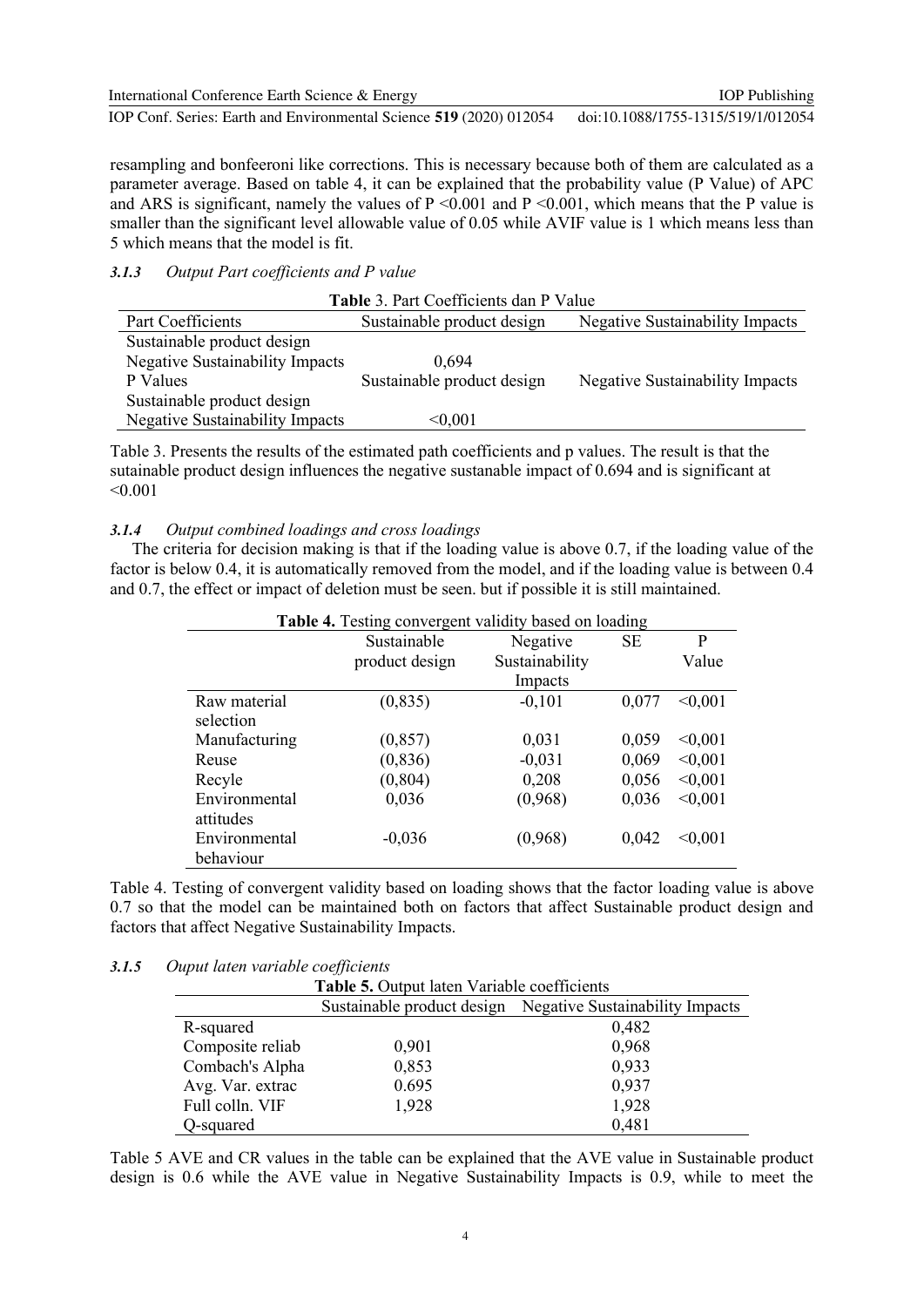International Conference Earth Science & Energy IOP Conf. Series: Earth and Environmental Science **519** (2020) 012054 IOP Publishing doi:10.1088/1755-1315/519/1/012054

resampling and bonfeeroni like corrections. This is necessary because both of them are calculated as a parameter average. Based on table 4, it can be explained that the probability value (P Value) of APC and ARS is significant, namely the values of  $P \le 0.001$  and  $P \le 0.001$ , which means that the P value is smaller than the significant level allowable value of 0.05 while AVIF value is 1 which means less than 5 which means that the model is fit.

# *3.1.3 Output Part coefficients and P value*

| <b>Table 3. Part Coefficients dan P Value</b> |                            |                                        |  |  |  |  |
|-----------------------------------------------|----------------------------|----------------------------------------|--|--|--|--|
| Part Coefficients                             | Sustainable product design | <b>Negative Sustainability Impacts</b> |  |  |  |  |
| Sustainable product design                    |                            |                                        |  |  |  |  |
| <b>Negative Sustainability Impacts</b>        | 0.694                      |                                        |  |  |  |  |
| P Values                                      | Sustainable product design | <b>Negative Sustainability Impacts</b> |  |  |  |  |
| Sustainable product design                    |                            |                                        |  |  |  |  |
| <b>Negative Sustainability Impacts</b>        | $< \!\! 0.001$             |                                        |  |  |  |  |

Table 3. Presents the results of the estimated path coefficients and p values. The result is that the sutainable product design influences the negative sustanable impact of 0.694 and is significant at  $< 0.001$ 

## *3.1.4 Output combined loadings and cross loadings*

The criteria for decision making is that if the loading value is above 0.7, if the loading value of the factor is below 0.4, it is automatically removed from the model, and if the loading value is between 0.4 and 0.7, the effect or impact of deletion must be seen. but if possible it is still maintained.

|               | <b>Table 4.</b> Testing convergent validity based on loading |                |           |         |  |  |
|---------------|--------------------------------------------------------------|----------------|-----------|---------|--|--|
|               | Sustainable                                                  | Negative       | <b>SE</b> | P       |  |  |
|               | product design                                               | Sustainability |           | Value   |  |  |
|               |                                                              | Impacts        |           |         |  |  |
| Raw material  | (0, 835)                                                     | $-0,101$       | 0,077     | < 0.001 |  |  |
| selection     |                                                              |                |           |         |  |  |
| Manufacturing | (0, 857)                                                     | 0,031          | 0,059     | < 0.001 |  |  |
| Reuse         | (0, 836)                                                     | $-0,031$       | 0,069     | < 0.001 |  |  |
| Recyle        | (0, 804)                                                     | 0,208          | 0,056     | < 0.001 |  |  |
| Environmental | 0,036                                                        | (0,968)        | 0,036     | < 0.001 |  |  |
| attitudes     |                                                              |                |           |         |  |  |
| Environmental | $-0,036$                                                     | (0,968)        | 0,042     | < 0.001 |  |  |
| behaviour     |                                                              |                |           |         |  |  |

Table 4. Testing of convergent validity based on loading shows that the factor loading value is above 0.7 so that the model can be maintained both on factors that affect Sustainable product design and factors that affect Negative Sustainability Impacts.

## *3.1.5 Ouput laten variable coefficients*

| Table 5. Output laten Variable coefficients                |       |       |  |  |  |
|------------------------------------------------------------|-------|-------|--|--|--|
| Sustainable product design Negative Sustainability Impacts |       |       |  |  |  |
| R-squared                                                  |       | 0,482 |  |  |  |
| Composite reliab                                           | 0,901 | 0,968 |  |  |  |
| Combach's Alpha                                            | 0,853 | 0,933 |  |  |  |
| Avg. Var. extrac                                           | 0.695 | 0,937 |  |  |  |
| Full colln. VIF                                            | 1,928 | 1,928 |  |  |  |
| Q-squared                                                  |       | 0,481 |  |  |  |

Table 5 AVE and CR values in the table can be explained that the AVE value in Sustainable product design is 0.6 while the AVE value in Negative Sustainability Impacts is 0.9, while to meet the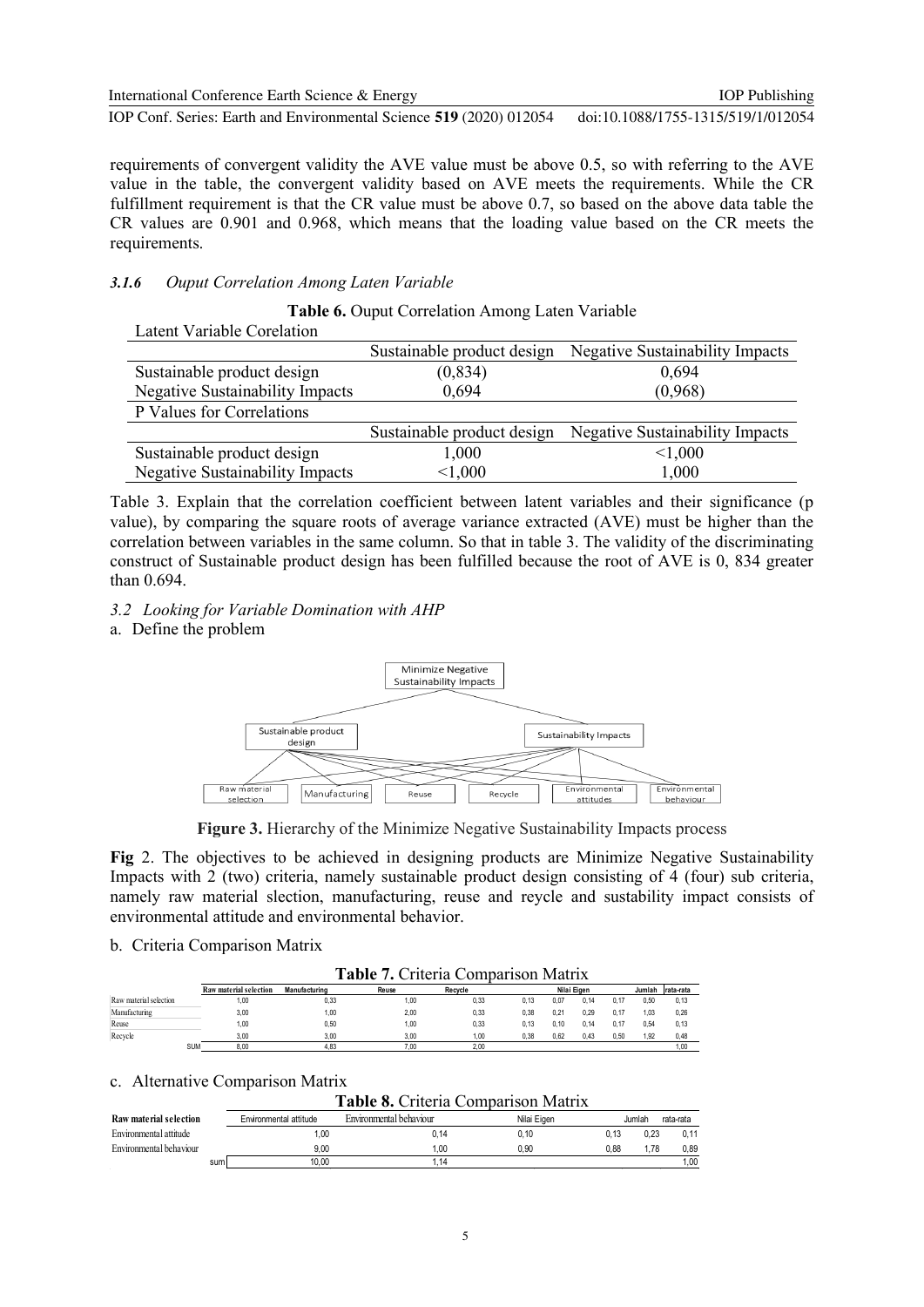International Conference Earth Science & Energy

IOP Conf. Series: Earth and Environmental Science **519** (2020) 012054 doi:10.1088/1755-1315/519/1/012054

requirements of convergent validity the AVE value must be above 0.5, so with referring to the AVE value in the table, the convergent validity based on AVE meets the requirements. While the CR fulfillment requirement is that the CR value must be above 0.7, so based on the above data table the CR values are 0.901 and 0.968, which means that the loading value based on the CR meets the requirements.

## *3.1.6 Ouput Correlation Among Laten Variable*

# **Table 6.** Ouput Correlation Among Laten Variable Latent Variable Corelation Sustainable product design Negative Sustainability Impacts Sustainable product design (0,834) 0,694 Negative Sustainability Impacts 0,694 (0,968) P Values for Correlations Sustainable product design Negative Sustainability Impacts Sustainable product design  $1,000$   $\leq 1,000$ Negative Sustainability Impacts  $\leq 1,000$  1,000

Table 3. Explain that the correlation coefficient between latent variables and their significance (p value), by comparing the square roots of average variance extracted (AVE) must be higher than the correlation between variables in the same column. So that in table 3. The validity of the discriminating construct of Sustainable product design has been fulfilled because the root of AVE is 0, 834 greater than 0.694.

*3.2 Looking for Variable Domination with AHP*

a. Define the problem



**Figure 3.** Hierarchy of the Minimize Negative Sustainability Impacts process

**Fig** 2. The objectives to be achieved in designing products are Minimize Negative Sustainability Impacts with 2 (two) criteria, namely sustainable product design consisting of 4 (four) sub criteria, namely raw material slection, manufacturing, reuse and reycle and sustability impact consists of environmental attitude and environmental behavior.

## b. Criteria Comparison Matrix

**Table 7.** Criteria Comparison Matrix

| Raw material selection | Manufacturing | Reuse | Recycle |      |      |      |             | Jumlah | Irata-rata |
|------------------------|---------------|-------|---------|------|------|------|-------------|--------|------------|
| 1.00                   | 0.33          | 1.00  | 0,33    | 0.13 | 0.07 | 0.14 | 0.17        | 0.50   | 0, 13      |
| 3.00                   | 1.00          | 2.00  | 0,33    | 0.38 | 0.21 | 0.29 | 0.17        | .03    | 0,26       |
| 1.00                   | 0.50          | 1.00  | 0,33    | 0.13 | 0.10 | 0.14 | 0.17        | 0.54   | 0, 13      |
| 3.00                   | 3.00          | 3.00  | 1.00    | 0.38 | 0.62 | 0.43 | 0.50        | 1.92   | 0,48       |
| <b>SUM</b><br>8.00     | 4.83          | 7.00  | 2.00    |      |      |      |             |        | 1.00       |
|                        |               |       |         |      |      |      | Nilai Eigen |        |            |

## c. Alternative Comparison Matrix

**Table 8.** Criteria Comparison Matrix

| Raw material selection  | Environmental attitude | Environmental behaviour | Nilai Eigen |      | Jumlah | rata-rata |
|-------------------------|------------------------|-------------------------|-------------|------|--------|-----------|
| Environmental attitude  | .00                    | 0.14                    | 0.10        | 0.13 | 0.23   | 0.11      |
| Environmental behaviour | 9.00                   | .00                     | 0.90        | 0.88 | . 78   | 0.89      |
| sum                     | 10.00                  | .14                     |             |      |        | 1.00      |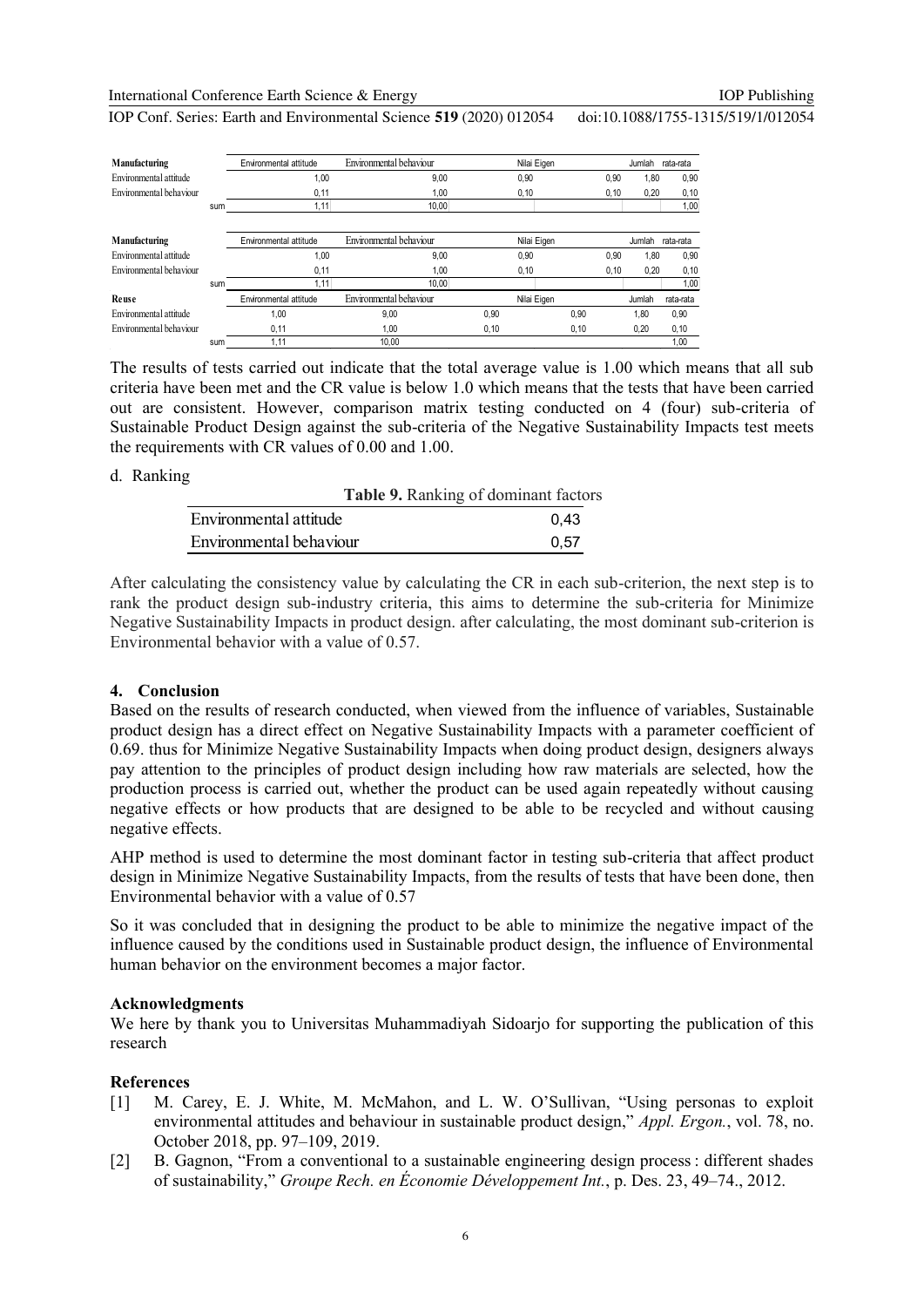International Conference Earth Science & Energy

IOP Conf. Series: Earth and Environmental Science **519** (2020) 012054 doi:10.1088/1755-1315/519/1/012054

| Manufacturing           |     | Environmental attitude | Environmental behaviour |       | Nilai Eigen | Jumlah        | rata-rata |
|-------------------------|-----|------------------------|-------------------------|-------|-------------|---------------|-----------|
| Environmental attitude  |     | 1,00                   | 9,00                    | 0,90  |             | 0.90<br>1,80  | 0,90      |
| Environmental behaviour |     | 0,11                   | 1,00                    | 0,10  |             | 0,20<br>0,10  | 0, 10     |
|                         | sum | 1.11                   | 10.00                   |       |             |               | 1,00      |
|                         |     |                        |                         |       |             |               |           |
| Manufacturing           |     | Environmental attitude | Environmental behaviour |       | Nilai Eigen | Jumlah        | rata-rata |
| Environmental attitude  |     | 1.00                   | 9.00                    | 0.90  |             | 0.90<br>1.80  | 0,90      |
| Environmental behaviour |     | 0,11                   | 1,00                    | 0,10  |             | 0.20<br>0, 10 | 0,10      |
|                         | sum | 1.11                   | 10.00                   |       |             |               | 1,00      |
| Reuse                   |     | Environmental attitude | Environmental behaviour |       | Nilai Eigen | Jumlah        | rata-rata |
| Environmental attitude  |     | 1.00                   | 9,00                    | 0.90  | 0.90        | 1.80          | 0.90      |
| Environmental behaviour |     | 0,11                   | 1,00                    | 0, 10 | 0,10        | 0,20          | 0,10      |
|                         | sum | 1,11                   | 10,00                   |       |             |               | 1.00      |

The results of tests carried out indicate that the total average value is 1.00 which means that all sub criteria have been met and the CR value is below 1.0 which means that the tests that have been carried out are consistent. However, comparison matrix testing conducted on 4 (four) sub-criteria of Sustainable Product Design against the sub-criteria of the Negative Sustainability Impacts test meets the requirements with CR values of 0.00 and 1.00.

### d. Ranking

|                         | Table 9. Ranking of dominant factors |
|-------------------------|--------------------------------------|
| Environmental attitude  | 0.43                                 |
| Environmental behaviour | 0.57                                 |
|                         |                                      |

After calculating the consistency value by calculating the CR in each sub-criterion, the next step is to rank the product design sub-industry criteria, this aims to determine the sub-criteria for Minimize Negative Sustainability Impacts in product design. after calculating, the most dominant sub-criterion is Environmental behavior with a value of 0.57.

# **4. Conclusion**

Based on the results of research conducted, when viewed from the influence of variables, Sustainable product design has a direct effect on Negative Sustainability Impacts with a parameter coefficient of 0.69. thus for Minimize Negative Sustainability Impacts when doing product design, designers always pay attention to the principles of product design including how raw materials are selected, how the production process is carried out, whether the product can be used again repeatedly without causing negative effects or how products that are designed to be able to be recycled and without causing negative effects.

AHP method is used to determine the most dominant factor in testing sub-criteria that affect product design in Minimize Negative Sustainability Impacts, from the results of tests that have been done, then Environmental behavior with a value of 0.57

So it was concluded that in designing the product to be able to minimize the negative impact of the influence caused by the conditions used in Sustainable product design, the influence of Environmental human behavior on the environment becomes a major factor.

## **Acknowledgments**

We here by thank you to Universitas Muhammadiyah Sidoarjo for supporting the publication of this research

# **References**

- [1] M. Carey, E. J. White, M. McMahon, and L. W. O'Sullivan, "Using personas to exploit environmental attitudes and behaviour in sustainable product design," *Appl. Ergon.*, vol. 78, no. October 2018, pp. 97–109, 2019.
- [2] B. Gagnon, "From a conventional to a sustainable engineering design process : different shades of sustainability," *Groupe Rech. en Économie Développement Int.*, p. Des. 23, 49–74., 2012.